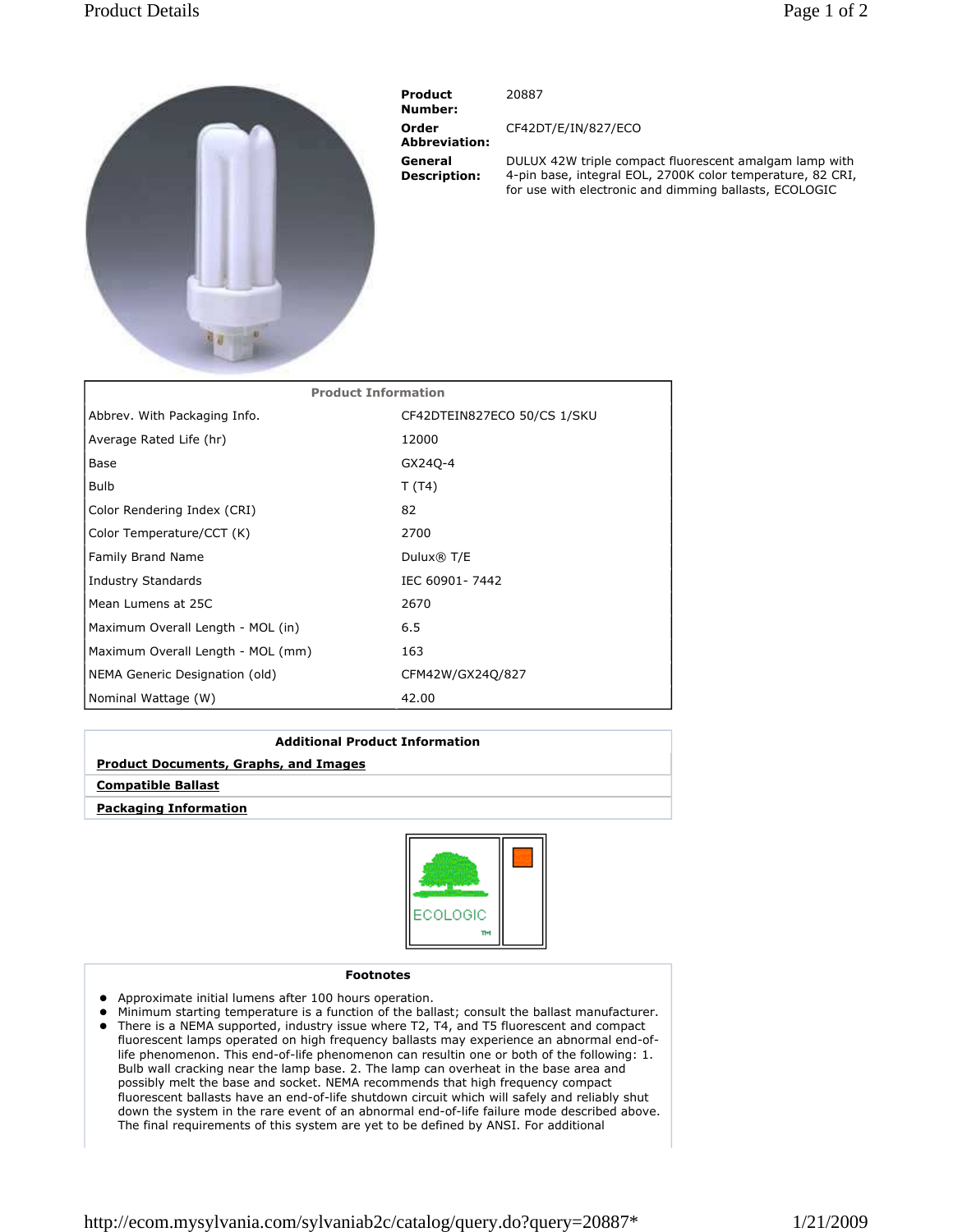## Product Details Page 1 of 2



 Product Number: Order Abbreviation: General Description:

20887

CF42DT/E/IN/827/ECO

DULUX 42W triple compact fluorescent amalgam lamp with 4-pin base, integral EOL, 2700K color temperature, 82 CRI, for use with electronic and dimming ballasts, ECOLOGIC

| <b>Product Information</b>        |                             |
|-----------------------------------|-----------------------------|
| Abbrev. With Packaging Info.      | CF42DTEIN827ECO 50/CS 1/SKU |
| Average Rated Life (hr)           | 12000                       |
| Base                              | GX240-4                     |
| <b>Bulb</b>                       | T(T4)                       |
| Color Rendering Index (CRI)       | 82                          |
| Color Temperature/CCT (K)         | 2700                        |
| Family Brand Name                 | Dulux $\circledR$ T/E       |
| Industry Standards                | IEC 60901-7442              |
| Mean Lumens at 25C                | 2670                        |
| Maximum Overall Length - MOL (in) | 6.5                         |
| Maximum Overall Length - MOL (mm) | 163                         |
| NEMA Generic Designation (old)    | CFM42W/GX24Q/827            |
| Nominal Wattage (W)               | 42.00                       |

| <b>Additional Product Information</b>        |  |
|----------------------------------------------|--|
| <b>Product Documents, Graphs, and Images</b> |  |
| <b>Compatible Ballast</b>                    |  |
| <b>Packaging Information</b>                 |  |



## Footnotes

- Approximate initial lumens after 100 hours operation.
- Minimum starting temperature is a function of the ballast; consult the ballast manufacturer. There is a NEMA supported, industry issue where T2, T4, and T5 fluorescent and compact fluorescent lamps operated on high frequency ballasts may experience an abnormal end-of-
- life phenomenon. This end-of-life phenomenon can resultin one or both of the following: 1. Bulb wall cracking near the lamp base. 2. The lamp can overheat in the base area and possibly melt the base and socket. NEMA recommends that high frequency compact fluorescent ballasts have an end-of-life shutdown circuit which will safely and reliably shut down the system in the rare event of an abnormal end-of-life failure mode described above. The final requirements of this system are yet to be defined by ANSI. For additional